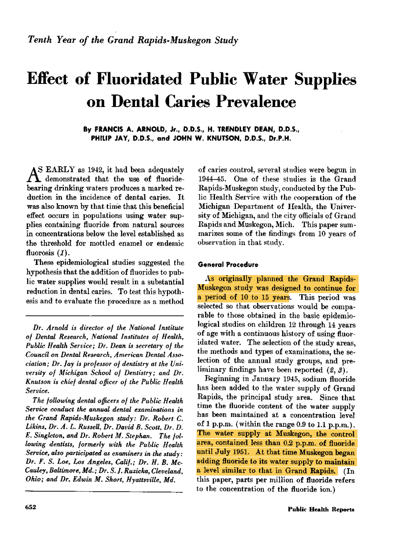# Effect of Fluoridated Public Water Supplies Dental Caries Prevalence

By FRANCIS A. ARNOLD, Jr., D.D.S., H. TRENDLEY DEAN, D.D.S., PHILIP JAY, D.D.S., and JOHN W. KNUTSON, D.D.S., Dr.P.H.

S EARLY as 1942, it had been adequately A demonstrated that the use of fluoridebearing drinking waters produces a marked reduction in the incidence of dental caries. It was also known by that time that this beneficial effect occurs in populations using water supplies containing fluoride from natural sources in concentrations below the level established as the threshold for mottled enamel or endemic fluorosis (1).

These epidemiological studies suggested the hypothesis that the addition of fluorides to public water supplies would result in a substantial reduction in dental caries. To test this hypothesis and to evaluate the procedure as a method

Dr. Arnold is director- of the National Institute of Dental Research, National Institutes of Health, Public Health Service; Dr. Dean is secretary of the Council on Dental Research, American Dental Association; Dr. Jay is professor of dentistry at the University of Michigan School of Dentistry; and Dr. Knutson is chief dental officer of the Public Health Service.

The following dental officers of the Public Health Service conduct the annual dental examinations in the Grand Rapids-Muskegon study: Dr. Robert C. Likins, Dr. A. L. Russell, Dr. David B. Scott, Dr. D. E. Singleton, and Dr. Robert M. Stephan. The following dentists, formerly with the Public Health Service, also participated as examiners in the study: Dr. F. S. Loe, Los Angeles, Calif.; Dr. H. B. Mc-Cauley, Baltimore, Md.; Dr. S. I. Ruzicka, Cleveland, Ohio; and Dr. Edwin M. Short, Hyattsville, Md.

of caries control, several studies were begun in 1944 45. One of these studies is the Grand Rapids-Muskegon study, conducted by the Public Health Service with the cooperation of the Michigan Department of Health, the University of Michigan, and the city officials of Grand Rapids and Muskegon, Mich. This paper summarizes some of the findings from 10 years of observation in that study.

## General Procedure

As originally planned the Grand Rapids-Muskegon study was designed to continue for a period of 10 to 15 years. This period was selected so that observations would be comparable to those obtained in the basic epidemiological studies on children 12 through 14 years of age with a continuous history of using fluoridated water. The selection of the study areas, the methods and types of examinations, the selection of the annual study groups, and preliminary findings have been reported  $(2, 3)$ .

Beginning in January 1945, sodium fluoride has been added to the water supply of Grand Rapids, the principal study area. Since that time the fluoride content of the water supply has been maintained at a concentration level of 1 p.p.m. (within the range 0.9 to 1.1 p.p.m.). The water supply at Muskegon, the control area, contained less than 0.2 p.p.m. of fluoride until July 1951. At that time Muskegon began adding fluoride to its water supply to maintain a level similar to that in Grand Rapids. (In this paper, parts per million of fluoride refers to the concentration of the fluoride ion.)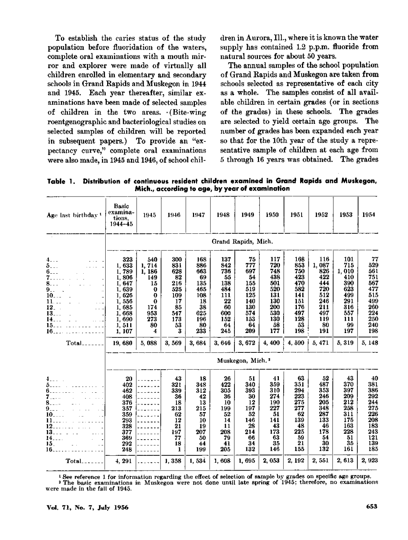To establish the caries status of the study population before fluoridation of the waters, complete oral examinations with a mouth mirror and explorer were made of virtually all children enrolled in elementary and secondary schools in Grand Rapids and Muskegon in 1944 and 1945. Each year thereafter, similar examinations have been made of selected samples of children in the two areas. (Bite-wing roentgenographic and bacteriological studies on selected samples of children will be reported in subsequent papers.) To provide an "expectancy curve," complete oral examinations were also made, in 1945 and 1946, of school children in Aurora, Ill., where it is known the water supply has contained  $1.2$  p.p.m. fluoride from natural sources for about 50 years.

The annual samples of the school population of Grand Rapids and Muskegon are taken from schools selected as representative of each city as a whole. The samples consist of all available children in certain grades (or in sections of the grades) in these schools. The grades are selected to yield certain age groups. The number of grades has been expanded each year so that for the 10th year of the study a representative sample of children at each age from through 16 years was obtained. The grades

Table 1. Distribution of continuous resident children examined in Grand Rapids and Muskegon, Mich., according to age, by year of examination

| Age last birthday <sup>1</sup>                                                                                                                                                                                                              | Basic<br>examina-<br>tions.<br>$1944 - 45$                                                                                  | 1945                                                                                                             | 1946                                                                                       | 1947                                                                                         | 1948                                                                                         | 1949                                                                                          | 1950                                                                                            | 1951                                                                                            | 1952                                                                                               | 1953                                                                                              | 1954                                                                                             |  |
|---------------------------------------------------------------------------------------------------------------------------------------------------------------------------------------------------------------------------------------------|-----------------------------------------------------------------------------------------------------------------------------|------------------------------------------------------------------------------------------------------------------|--------------------------------------------------------------------------------------------|----------------------------------------------------------------------------------------------|----------------------------------------------------------------------------------------------|-----------------------------------------------------------------------------------------------|-------------------------------------------------------------------------------------------------|-------------------------------------------------------------------------------------------------|----------------------------------------------------------------------------------------------------|---------------------------------------------------------------------------------------------------|--------------------------------------------------------------------------------------------------|--|
|                                                                                                                                                                                                                                             | Grand Rapids, Mich.                                                                                                         |                                                                                                                  |                                                                                            |                                                                                              |                                                                                              |                                                                                               |                                                                                                 |                                                                                                 |                                                                                                    |                                                                                                   |                                                                                                  |  |
| 4.1.1<br>$\frac{5}{6}$<br><b>Contract</b><br>$\sim 10^{-1}$ .<br>7.<br>$\tilde{\mathbf{9}}_{21}$ .<br>$10^{-1}$<br>$\overline{\mathbf{ii}}$<br>$\ddotsc$<br>$12-1$<br>.<br>$\frac{13}{14}$<br>15.<br>16.<br>.<br>$Total$ <sub>-------</sub> | 323<br>1,633<br>1,789<br>1,806<br>1, 647<br>1,639<br>1,626<br>1,556<br>1,685<br>1,668<br>1.690<br>1,511<br>1, 107<br>19,680 | 540<br>1,714<br>1, 186<br>149<br>15<br>$\bf{0}$<br>$\bf{0}$<br>$\bf{0}$<br>174<br>953<br>273<br>80<br>4<br>5,088 | 300<br>831<br>628<br>82<br>216<br>525<br>109<br>17<br>85<br>547<br>173<br>53<br>3<br>3,569 | 168<br>886<br>663<br>69<br>135<br>465<br>108<br>18<br>38<br>625<br>196<br>80<br>233<br>3,684 | 137<br>842<br>736<br>55<br>138<br>484<br>111<br>22<br>60<br>600<br>152<br>64<br>245<br>3.646 | 75<br>777<br>697<br>54<br>155<br>519<br>125<br>140<br>130<br>574<br>153<br>64<br>209<br>3,672 | 117<br>720<br>748<br>438<br>501<br>520<br>131<br>130<br>200<br>530<br>130<br>58<br>177<br>4,400 | 168<br>853<br>750<br>423<br>470<br>582<br>141<br>151<br>176<br>497<br>128<br>53<br>198<br>4.590 | 116<br>1,087<br>826<br>422<br>444<br>720<br>512<br>246<br>211<br>497<br>119<br>80<br>191<br>5, 471 | 101<br>715<br>1,010<br>410<br>390<br>623<br>499<br>291<br>316<br>557<br>111<br>99<br>197<br>5,319 | 77<br>529<br>561<br>751<br>567<br>477<br>515<br>499<br>260<br>224<br>250<br>240<br>198<br>5, 148 |  |
|                                                                                                                                                                                                                                             | Muskegon, Mich. <sup>2</sup>                                                                                                |                                                                                                                  |                                                                                            |                                                                                              |                                                                                              |                                                                                               |                                                                                                 |                                                                                                 |                                                                                                    |                                                                                                   |                                                                                                  |  |
| 4.111<br>7.111<br>$\overline{\mathbf{8}}$ .<br>$9.11 \pm 10$<br>$10$ <sub>2</sub> $\ldots$ $\ldots$<br>12<br>13 11<br>14<br>$\overline{15}$ .<br>$\mathcal{L}^{\mathcal{A}}$<br>16.                                                         | 20<br>402<br>462<br>408<br>376<br>357<br>359<br>293<br>328<br>377<br>369<br>292<br>248                                      |                                                                                                                  | 43<br>321<br>339<br>36<br>18<br>213<br>62<br>12<br>21<br>197<br>77<br>18<br>1              | 18<br>348<br>312<br>42<br>13<br>215<br>57<br>10<br>19<br>207<br>50<br>44<br>199              | 26<br>422<br>305<br>36<br>10<br>199<br>52<br>14<br>11<br>208<br>79<br>41<br>205              | 51<br>340<br>393<br>30<br>12<br>197<br>52<br>146<br>28<br>214<br>66<br>34<br>132              | 41<br>359<br>310<br>274<br>190<br>227<br>51<br>141<br>43<br>173<br>63<br>35<br>146              | 63<br>351<br>294<br>223<br>275<br>277<br>62<br>139<br>48<br>225<br>59<br>21<br>155              | 52<br>487<br>353<br>246<br>205<br>348<br>287<br>133<br>46<br>178<br>54<br>30<br>132                | 43<br>370<br>397<br>209<br>212<br>258<br>311<br>175<br>163<br>228<br>51<br>35<br>161              | 40<br>381<br>$\frac{386}{292}$<br>244<br>275<br>226<br>208<br>183<br>243<br>121<br>139<br>185    |  |
| $Total$ <sub>------</sub>                                                                                                                                                                                                                   | 4, 291                                                                                                                      |                                                                                                                  | 1.358                                                                                      | 1,534                                                                                        | 1,608                                                                                        | 1,695                                                                                         | 2,053                                                                                           | 2, 192                                                                                          | 2,551                                                                                              | 2, 613                                                                                            | 2,923                                                                                            |  |

 See reference <sup>1</sup> for information regarding the effect of selection of sample by grades on specific age groups. The basic examinations in 'Muskegon were not done until late spring of 1945; therefore, no examinations

were made in the fall of 1945.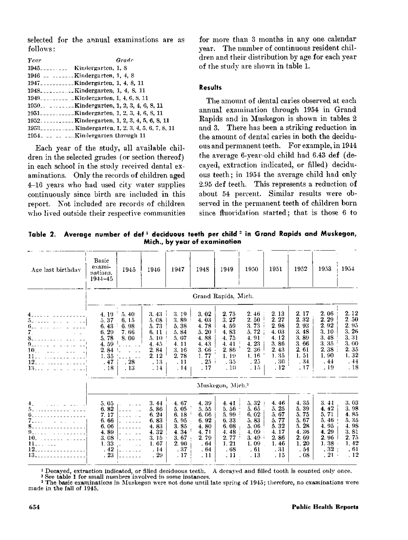selected for the annual examinations are as follows:

| Year | Grade                                                                 |
|------|-----------------------------------------------------------------------|
|      | $1945$ <sub>-------</sub> Kindergarten, 1, 8                          |
|      | 1946 $\ldots$ $\ldots$ $\ldots$ Kindergarten, 1, 4, 8                 |
|      | 1947 <sub>----------</sub> ---Kindergarten, 1, 4, 8, 11               |
|      |                                                                       |
|      | $1949$ $1949$ $1810$ $1949$                                           |
|      | 1950. Kindergarten, 1, 2, 3, 4, 6, 8, 11                              |
|      | $1951$ Kindergarten, 1, 2, 3, 4, 6, 8, 11                             |
|      | 1952. Kindergarten, 1, 2, 3, 4, 5, 6, 8, 11                           |
|      | $1953$ <sub>----------</sub> Kindergarten, 1, 2, 3, 4, 5, 6, 7, 8, 11 |
|      | 1954.   Kindergarten through 11                                       |

Each year of the study, all available children in the selected grades (or section thereof) in each school in the study received dental examinations. Only the records of children aged 4-16 years who had used city water supplies continuously since birth are included in this report. Not included are records of children who lived outside their respective communities for more than 3 months in any one calendar year. The number of continuous resident children and their distribution by age for each year of the study are shown in table 1.

## Results

The amount of dental caries observed at each annual examination through 1954 in Grand Rapids and in Muskegon is shown in tables 2 and 3. There lhas been a striking reduction in the amount of dental caries in both the deciduous and permanent teeth. For example, in 1944 the average 6-year-old child had 6.43 def (decayed, extraction indicated, or filled) deciduous teeth; in 1954 the average child had only 2.95 def teeth. This represents a reduction of about 54 percent. Similar results were observed in the permanent teeth of children born since fluoridation started; that is those 6 to

Table 2. Average number of def<sup>1</sup> deciduous teeth per child<sup>2</sup> in Grand Rapids and Muskegon, Mich., by year of examination

| Age last birthday                                                                                                                                                                                                               | Basic<br>exami-<br>nations,<br>1944-45                                        | 1945                                                 | 1946                                                                                  | 1947                                                                                  | 1948                                                                                   | 1949                                                                          | 1950                                                                                     | 1951                                                                             | 1952                                                                                                   | 1953                                                                                        | 1954                                                                            |  |  |
|---------------------------------------------------------------------------------------------------------------------------------------------------------------------------------------------------------------------------------|-------------------------------------------------------------------------------|------------------------------------------------------|---------------------------------------------------------------------------------------|---------------------------------------------------------------------------------------|----------------------------------------------------------------------------------------|-------------------------------------------------------------------------------|------------------------------------------------------------------------------------------|----------------------------------------------------------------------------------|--------------------------------------------------------------------------------------------------------|---------------------------------------------------------------------------------------------|---------------------------------------------------------------------------------|--|--|
|                                                                                                                                                                                                                                 | Grand Rapids, Mich.                                                           |                                                      |                                                                                       |                                                                                       |                                                                                        |                                                                               |                                                                                          |                                                                                  |                                                                                                        |                                                                                             |                                                                                 |  |  |
| .<br>51 . 1111 . 112 . 113 . 113<br>8.<br>did dia dia 1960 artist<br>9.<br>$\mathbf{1}$ , $\mathbf{1}$ , $\mathbf{1}$ , $\mathbf{1}$ , $\mathbf{1}$ , $\mathbf{1}$ , $\mathbf{1}$ , $\mathbf{1}$<br>$10.1 - 10.1 - 10.1$<br>12. | 4.19<br>5, 37<br>6.43<br>6, 29<br>5.78<br>4.59<br>2.84<br>1, 35<br>.47<br>.18 | 5.40<br>6.15<br>6.98<br>7.66<br>8.00<br>. 28<br>. 13 | 3, 43<br>5. 08<br>73<br>5.<br>11<br>6.<br>5.10<br>4.45<br>2.84<br>2. 12<br>.13<br>.14 | 3.19<br>3, 89<br>5.38<br>5.84<br>5.07<br>4.11<br>3.16<br>2.78<br>. 11<br>.14          | 3.02<br>4.03<br>4.78<br>5.20<br>4.88<br>4.43<br>3.66<br>1.77<br>25 <sub>1</sub><br>.17 | 2.75<br>3.27<br>4.59<br>4.83<br>4.75<br>4.41<br>2, 86<br>1.19<br>. 35<br>.10  | 2.<br>$+6$<br>2, 50<br>73<br>3.<br>72<br>ō.<br>4.91<br>4.23<br>2.36<br>1.16<br>25<br>.15 | 2.13<br>2.27<br>2,98<br>4.03<br>4.12<br>3, 86<br>2.43<br>1.35<br>, 30<br>. 12    | 2.<br>-17<br>2.32<br>2.93<br>3.<br>48<br>3.<br>-89<br>3.<br>66<br>61<br>2.<br>1.51<br>.34<br>.17       | 2, 06<br>2.29<br>2.92<br>3.10<br>3.48<br>3.35<br>2.38<br>1.90<br>. 44<br>. 19               | 2.12<br>2.50<br>2, 95<br>26<br>3.<br>3.31<br>3.00<br>2.35<br>1,32<br>.44<br>.18 |  |  |
|                                                                                                                                                                                                                                 | Muskegon, Mich. <sup>3</sup>                                                  |                                                      |                                                                                       |                                                                                       |                                                                                        |                                                                               |                                                                                          |                                                                                  |                                                                                                        |                                                                                             |                                                                                 |  |  |
| and a straight and a straight and a<br>$4_{-}$<br>.<br>10.<br>11.<br>$\sim$ $\sim$ $\sim$<br>12.<br>13.                                                                                                                         | 5.05<br>6.82<br>7.17<br>6.66<br>6.06<br>4.89<br>3.08<br>1.33<br>42<br>. 23    |                                                      | 3.44<br>5.86<br>6.24<br>6.83<br>4.83<br>4.32<br>3.15<br>1.67<br>. 14<br>. 29          | 4.67<br>5, 05<br>6.18<br>5.95<br>3.85<br>34<br>4.<br>67<br>3.<br>2.90<br>. 37<br>. 17 | 4.39<br>5.55<br>6.06<br>6.92<br>4.80<br>4.71<br>2, 79<br>. 64<br>. 64<br>. 11          | 4.41<br>5.56<br>5.99<br>6.33<br>6.08<br>4.48<br>2, 77<br>1.21<br>. 68<br>. 11 | 5.32<br>5.65<br>6.02<br>5.83<br>5, 06<br>4,09<br>3.49<br>1.09<br>. 61<br>. 13            | 4.46<br>5.25<br>5.67<br>77<br>ő.<br>5.32<br>4.17<br>2.86<br>1.46<br>. 31<br>. 15 | 4.35<br>-39<br>5.<br>75<br>5.<br>67<br>5.<br>28<br>5.<br>-36<br>4.<br>-69<br>2.<br>1.20<br>. 54<br>.08 | 3.44<br>4.42<br>5.71<br>5.46<br>4.95<br>4.29<br>2.96<br>1.38:<br>.32 <sub>1</sub><br>, 21 - | 3, 03<br>3.98<br>4.85<br>5.35<br>4.98<br>3.81<br>2.75<br>1.42<br>. 61<br>.12    |  |  |

<sup>1</sup> Decayed, extraction indicated, or filled deciduous teeth. A decayed and filled tooth is counted only once.

<sup>2</sup> See table <sup>1</sup> for small numbers involved in some instances.

<sup>3</sup> The basic examinations in Muskegon were not done until late spring of 1945; therefore, no examinations were made in the fall of 1945.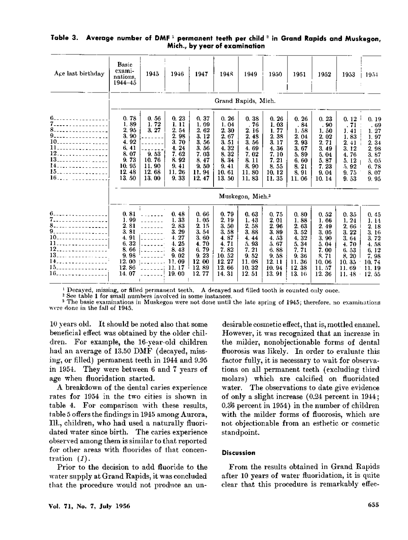| Age last birthday                                                     | <b>Basic</b><br>exami-<br>nations,<br>1944-45                                                  | 1945                                                             | 1946                                                                                                | 1947                                                                                                | 1948                                                                                           | 1949                                                                                     | 1950                                                                                                      | 1951                                                                                                 | 1952                                                                                    | 1953                                                                                               | $19.1 +$                                                                                   |
|-----------------------------------------------------------------------|------------------------------------------------------------------------------------------------|------------------------------------------------------------------|-----------------------------------------------------------------------------------------------------|-----------------------------------------------------------------------------------------------------|------------------------------------------------------------------------------------------------|------------------------------------------------------------------------------------------|-----------------------------------------------------------------------------------------------------------|------------------------------------------------------------------------------------------------------|-----------------------------------------------------------------------------------------|----------------------------------------------------------------------------------------------------|--------------------------------------------------------------------------------------------|
|                                                                       | Grand Rapids, Mich.                                                                            |                                                                  |                                                                                                     |                                                                                                     |                                                                                                |                                                                                          |                                                                                                           |                                                                                                      |                                                                                         |                                                                                                    |                                                                                            |
| 6.<br>7.<br>8.<br>9.<br>11<br>12.<br>13.<br>14<br>15.<br>$16$         | 0.78<br>1.89<br>2.95<br>3.90<br>4.92<br>6.41<br>8.07<br>9.73<br>10, 95<br>12.48<br>13.50       | 0.56<br>1.72<br>3.27<br>9.53<br>10.76<br>11.90<br>12.68<br>13.00 | 0.23<br>1. 11<br>2.54<br>2.<br>98<br>3.<br>70<br>4.24<br>7.62<br>8.92<br>9.41<br>11.26<br>9.33      | 0.37<br>1.09<br>2, 62<br>3.12<br>3.<br>56<br>56<br>3.<br>7.03<br>47<br>8.<br>9.50<br>11.94<br>12.47 | 0.26<br>1.04<br>2, 30<br>2, 67<br>3.51<br>4.32<br>8.32<br>8.34<br>9.41<br>10.61<br>13.50       | 0.38<br>76<br>2.16<br>2.48<br>3.56<br>4.69<br>7.02<br>8.11<br>8.90<br>11.80<br>11, 83    | 0.26<br>1.03<br>1.77<br>2.38<br>3. 17<br>4.36<br>7.10<br>7.21<br>8.55<br>10, 12<br>11.35                  | 0, 26<br>. 84<br>1.58<br>2.04<br>2, 93<br>67<br>3.<br>89<br>5.<br>6.60<br>21<br>8.<br>8, 91<br>11.06 | 0.23<br>90<br>1.50<br>2.02<br>2, 71<br>3.49<br>5.04<br>5.87<br>7.23<br>9.04<br>10.14    | 0.12<br>, 71<br>1.41<br>1.83<br>2.41<br>3.12<br>4.76<br>5.12<br>5.92<br>9.75<br>9.53               | 0.19<br>. 69<br>1, 27<br>1.97<br>2.34<br>2, 98<br>3.87<br>5.05<br>6.78<br>8, 07<br>9.95    |
|                                                                       | Muskegon, Mich. <sup>3</sup>                                                                   |                                                                  |                                                                                                     |                                                                                                     |                                                                                                |                                                                                          |                                                                                                           |                                                                                                      |                                                                                         |                                                                                                    |                                                                                            |
| 7.<br>9.<br>$10$ ------------------<br>11<br>13.<br>14.<br>15.<br>16. | 0.81<br>1.99<br>2.81<br>3. SI<br>4.91<br>6, 32<br>8, 66<br>9.98<br>12.00<br>86<br>12.<br>14.07 | $\sim$<br>$- - - - - - -$<br>$1 - 1 - 1 - 1$<br>$- - - - - - -$  | 0.48<br>1.33<br>2.83<br>3.29<br>4.27<br>4.25<br>8.43<br>02<br>9.<br>11.<br>-09<br>11<br>17<br>19.00 | 0.66<br>1.05<br>2.15<br>3.54<br>3.60<br>4.70<br>6.79<br>23<br>9.<br>12.00<br>12.89<br>12, 77        | 0.79<br>2, 19<br>3.50<br>3.58<br>4, 87<br>71<br>4.<br>7.82<br>10.52<br>12.27<br>12.66<br>14.31 | 0,63<br>1.43<br>2.58<br>3.88<br>4.44<br>5.93<br>7.21<br>9.52<br>11.08<br>10, 32<br>12.51 | 0.75<br>2.01<br>2.96<br>3.89<br>4.53<br>5.67<br>6.88<br>58<br>9.<br>12.<br>$\mathbf{1}$<br>10.94<br>13.91 | 0.80<br>1.88<br>2.63<br>3.52<br>4, 32<br>5.34<br>7.71<br>9.36<br>11.36<br>12.<br>38<br>13.16         | 0.52<br>1.66<br>2.49<br>3.05<br>3.90<br>5.04<br>7.00<br>8.71<br>10.06<br>11.57<br>12.36 | 0.35<br>1, 24<br>2.66<br>3.22<br>3.64<br>4.70<br>6.53<br>8.20<br>10.35<br>11.69<br>11.48<br>$\sim$ | 0.45<br>1.14<br>2, 18<br>3, 16<br>3.72<br>4.58<br>6, 12<br>7,98<br>10.74<br>11.19<br>12.55 |

## Table 3. Average number of DMF<sup>1</sup> permanent teeth per child<sup>2</sup> in Grand Rapids and Muskegon, Mich., by year of examination

 $1$  Decayed, missing, or filled permanent teeth. A decayed and filled tooth is counted only once.

<sup>2</sup> See table <sup>1</sup> for small numbers involved in some instances.

<sup>3</sup> The basic examinations in Muskegon were not done until the late spring of 1945; therefore, no examinations were done in the fall of 1945.

10 years old. It should be noted also that some beneficial effect was obtained by the older children. For example, the 16-year-old children had an average of 13.50 DMF (decayed, missing, or filled) permanent teeth in 1944 and 9.95 in 1954. They were between 6 and 7 years of age when fluoridation started.

A breakdown of the dental caries experience rates for 1954 in the two cities is shown in table 4. For comparison with these results, table 5 offers the findings in 1945 among Aurora, Ill., children, who had used a naturally fluoridated water since birth. The caries experience observed among them is similar to that reported for other areas with fluorides of that concentration (1).

Prior to the decision to add fluoride to the water supply at Grand Rapids, it was concluded that the procedure would not produce an un-

desirable cosmetic effect, that is, mottled enamel. However, it was recognized that an increase in the milder, nonobjectionable forms of dental fluorosis was likely. In order to evaluate this factor fully, it is necessary to wait for observations on all permanent teeth (excluding third molars) which are calcified on fluoridated water. The observations to date give evidence of only a slight increase (0.24 percent in 1944; 0.36 percent in 1954) in the number of children with the milder forms of fluorosis, which are not objectionable from an esthetic or cosmetic standpoint.

## Discussion

From the results obtained in Grand Rapids after 10 years of water fluoridation, it is quite clear that this procedure is remarkably effec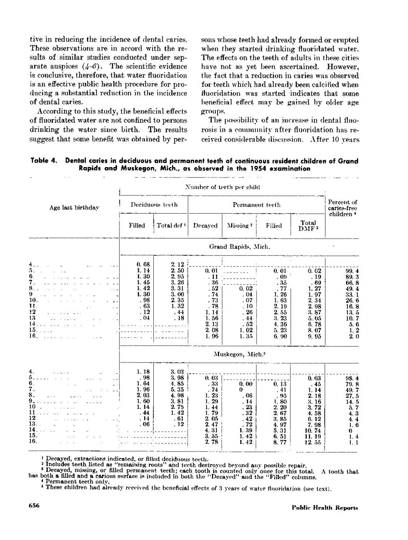tive in reducing the incidence of dental caries. These observations are in accord with the results of similar studies conducted under separate auspices  $(4-6)$ . The scientific evidence is conclusive, therefore, that water fluoridation is an effective public health procedure for producing a substantial reduction in the incidence of dental caries.

According to this study, the beneficial effects of fluoridated water are not confined to persons drinking the water since birth. The results suggest that some benefit was obtained by per-

sons whose teeth had already formed or erupted when they started drinking fluoridated water. The effects on the teeth of adults in these cities have not as yet been ascertained. However, the fact that a reduction in caries was observed for teeth which had already been calcified when fluoridation was started indicates that some beneficial effect may be gained by older age groups.

The possibility of an increase in dental fluorosis in a community after fluoridation has received considerable discussion. After 10 years

Dental caries in deciduous and permanent teeth of continuous resident children of Grand Table 4. Rapids and Muskegon, Mich., as observed in the 1954 examination

|                                                                                                                                                       | Number of teeth per child                                                                                              |                                                                                                    |                                                                                               |                                                                                          |                                                                                             |                                                                                                |                                                                                                                         |  |  |  |
|-------------------------------------------------------------------------------------------------------------------------------------------------------|------------------------------------------------------------------------------------------------------------------------|----------------------------------------------------------------------------------------------------|-----------------------------------------------------------------------------------------------|------------------------------------------------------------------------------------------|---------------------------------------------------------------------------------------------|------------------------------------------------------------------------------------------------|-------------------------------------------------------------------------------------------------------------------------|--|--|--|
| Age last birthday                                                                                                                                     |                                                                                                                        | Deciduous teeth                                                                                    |                                                                                               | Percent of<br>caries-free                                                                |                                                                                             |                                                                                                |                                                                                                                         |  |  |  |
|                                                                                                                                                       | Filled                                                                                                                 | Total def!                                                                                         | Decayed                                                                                       | Missing <sup>2</sup>                                                                     | Filled                                                                                      | Total<br>DMF <sup>3</sup>                                                                      | children <sup>+</sup>                                                                                                   |  |  |  |
|                                                                                                                                                       |                                                                                                                        |                                                                                                    |                                                                                               | Grand Rapids, Mich.                                                                      |                                                                                             |                                                                                                |                                                                                                                         |  |  |  |
| 5.<br>6.<br>7.<br>8.<br>$\sim$ $\sim$ $-$<br>9.<br>$\mathcal{L}=\mathcal{L}=\mathcal{L}$<br>10.<br>11.<br>12<br>13<br>14.<br>15.<br>a caracter<br>16. | 0.68<br>1.14<br>1.30<br>1.45<br>1.42<br>1.30<br>.98<br>. 63<br>.12<br>.04<br>$\frac{1}{2}$<br><u>a a a sila a c</u> om | 2.12<br>2.50<br>2, 95<br>3.26<br>3.31<br>3.00<br>2.35<br>1.32<br>.44<br>.18<br>$1 - 2 - 1 - 1 = 1$ | 0, 01<br>. 11<br>. 36<br>. 52<br>.74<br>$-73$<br>. 78<br>1.14<br>1.56<br>2.13<br>2,08<br>1.96 | .<br>Service Service<br>0.02<br>.04<br>.07<br>, 10<br>.26<br>.44<br>, 52<br>1.02<br>1.35 | 0.01<br>. 09<br>- 35<br>77<br>1.26<br>1, 63<br>2.19<br>2.55<br>3.23<br>4.36<br>5.23<br>6.90 | 0.02<br>. 19<br>69<br>1, 27<br>1.97<br>2, 34<br>2.98<br>3.87<br>5.05<br>6.78<br>8.07<br>9.95   | 99.4<br>89.3<br>66.8<br>49.4<br>33.1<br>26.6<br>16.8<br>13, 5<br>10.7<br>5.6<br>1, 2<br>$\overline{2}$ , $\overline{0}$ |  |  |  |
|                                                                                                                                                       |                                                                                                                        |                                                                                                    |                                                                                               | Muskegon, Mich. <sup>5</sup>                                                             |                                                                                             |                                                                                                |                                                                                                                         |  |  |  |
| 4.<br>5.<br>$\omega$ is a second .<br>6.<br>7.<br>8.<br>$\omega = 1/\omega$<br>9.<br>10<br>11<br><b>Contractor</b><br>12<br>13.<br>14.<br>15.<br>16.  | 1.18<br>.98<br>1.64<br>1.96<br>2, 03<br>1.60<br>1.14<br>.44<br>.14<br>.06                                              | 3, 03<br>3.98<br>4.85<br>5.35<br>4.98<br>3.81<br>2.75<br>1.42<br>. 61<br>.12<br>. <u>(</u> .       | 0.03<br>.33<br>.74<br>1.23<br>1.29<br>1.44<br>1,79<br>2.05<br>2.47<br>4.31<br>3.55<br>2.78    | 0.00<br>$\mathbf{0}$<br>. 06<br>. 14<br>23<br>. 32<br>.42<br>72<br>1.39<br>1.42<br>1.42  | 0.13<br>.41<br>-95<br>1.80<br>2, 20<br>2.67<br>3.85<br>4.97<br>5.31<br>6.51<br>8.77         | 0.03<br>45<br>1.14<br>2.18<br>3.16<br>3.72<br>4.58<br>6.12<br>7.98<br>10.74<br>11.19<br>12, 55 | 98.4<br>79.8<br>49.7<br>27.5<br>14.5<br>5.7<br>4.3<br>4.4<br>1, 6<br>0<br>1.4<br>1.1                                    |  |  |  |

<sup>1</sup> Decayed, extractions indicated, or filled deciduous teeth.

Finally the state in the set of the set of the strong in the strong in the strong in the strong in the strong in the strong in the strong strong in the strong strong in the strong strong in the strong strong in the strong

Permanent teeth only,

<sup>8</sup> These children had already received the beneficial effects of 3 years of water fluoridation (see text).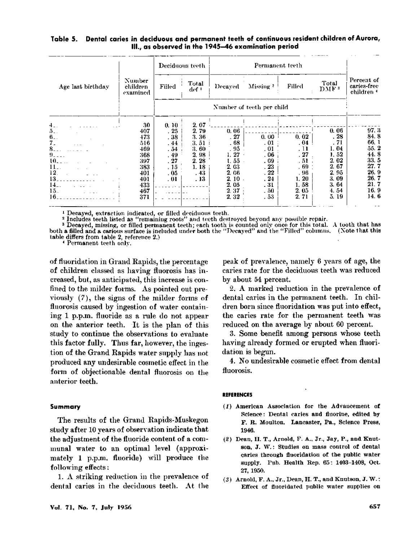#### Dental caries in deciduous and permanent teeth of continuous resident children of Aurora, Table 5. III., as observed in the 1945-46 examination period

|                                                                                              | Number<br>children<br>examined                                                         |                                                                       | Deciduous teeth                                                             |                                                                                             |                                                                                |                                                                                            |                                                                                                  |                                                                                              |  |
|----------------------------------------------------------------------------------------------|----------------------------------------------------------------------------------------|-----------------------------------------------------------------------|-----------------------------------------------------------------------------|---------------------------------------------------------------------------------------------|--------------------------------------------------------------------------------|--------------------------------------------------------------------------------------------|--------------------------------------------------------------------------------------------------|----------------------------------------------------------------------------------------------|--|
| Age last birthday                                                                            |                                                                                        | Filled                                                                | Total<br>def +                                                              | Decayed                                                                                     | Missing <sup>2</sup>                                                           | Filled                                                                                     | Total<br>DMF <sup>3</sup>                                                                        | Percent of<br>caries-free<br>children 4                                                      |  |
|                                                                                              |                                                                                        |                                                                       |                                                                             |                                                                                             |                                                                                |                                                                                            |                                                                                                  |                                                                                              |  |
| 4. .<br>5. .<br>6.<br>7.<br>8.<br>$9 - -$<br>10.<br>11.<br>12.<br>13.<br>14. .<br>15.<br>16. | 30<br>407<br>473<br>516<br>469<br>368<br>397<br>383<br>401<br>401<br>433<br>467<br>371 | 0.10<br>.25<br>.38<br>.44<br>.54<br>.49<br>.27<br>.15<br>. 05<br>. 01 | 2.07<br>2.79<br>3.36<br>3.51<br>3.60<br>2,98<br>2.28<br>1.18<br>.43<br>. 13 | 0.06<br>.27<br>.68<br>. 95<br>1.27<br>t. 55<br>2.03<br>2.06<br>2.10<br>2.05<br>2.37<br>2.32 | 0.00<br>.01<br>.01<br>. 06<br>.09<br>.23<br>.22<br>.24<br>- 31<br>. 50<br>. 53 | 0.02<br>. 04<br>$\cdot$ 11<br>.27<br>.51<br>.69.1<br>. 96<br>1.20<br>1.58<br>2.05<br>2, 71 | 0.06<br>.28<br>. 71<br>1.04<br>1.52<br>2.02<br>-67<br>2.<br>2.95<br>3.09<br>3.64<br>4.54<br>5.19 | 97.3<br>84.8<br>66.1<br>55.2<br>44.8<br>33.5<br>27.7<br>26.9<br>26.7<br>21.7<br>16.9<br>14.6 |  |

<sup>1</sup> Decayed, extraction indicated, or filled deciduous teeth.<br><sup>2</sup> Includes teeth listed as "remaining roots" and teeth destroyed beyond any possible repair.<br><sup>2</sup> Decayed, missing, or filled permanent teeth; each tooth is co both a filled and a carious surface is included under both the "Decayed" and the "Filled" columns. (Note that this table differs from table 2, reference 2.)

Permanent teeth only,

of fluoridation in Grand Rapids, the percentage of children classed as having fluorosis has increased, but, as anticipated, this increase is confined to the milder forms. As pointed out previously  $(7)$ , the signs of the milder forms of fluorosis caused by ingestion of water containing 1 p.p.m. fluoride as a rule do not appear on the anterior teeth. It is the plan of this study to continue the observations to evaluate this factor fully. Thus far, however, the ingestion of the Grand Rapids water supply has not produced any undesirable cosmetic effect in the form of objectionable dental fluorosis on the anterior teeth.

#### Summary

The results of the Grand Rapids-Muskegon study after 10 years of observation indicate that the adjustment of the fluoride content of a communal water to an optimal level (approximately 1 p.p.m. fluoride) will produce the following effects:

1. A striking reduction in the prevalence of dental caries in the deciduous teeth. At the

peak of prevalence, namely 6 years of age, the caries rate for the deciduous teeth was reduced by about 54 percent.

2. A marked reduction in the prevalence of dental caries in the permanent teeth. In children born since fluoridation was put into effect, the caries rate for the permanent teeth was reduced on the average by about 60 percent.

3. Some benefit among persons whose teeth having already formed or erupted when fluoridation is begun.

4. No undesirable cosmetic effect from dental fluorosis.

#### **REFERENCES**

- (1) American Association for the Advancement of Science: Dental caries and fluorine, edited by F. R. Moulton. Lancaster, Pa., Science Press, 1946.
- (2) Dean, H. T., Arnold, F. A., Jr., Jay, P., and Knutson, J. W.: Studies on mass control of dental caries through fluoridation of the public water supply. Pub. Health Rep. 65: 1403-1408, Oct. 27, 1950.
- (3) Arnold, F. A., Jr., Dean, H. T., and Knutson, J. W.: Effect of fluoridated public water supplies on